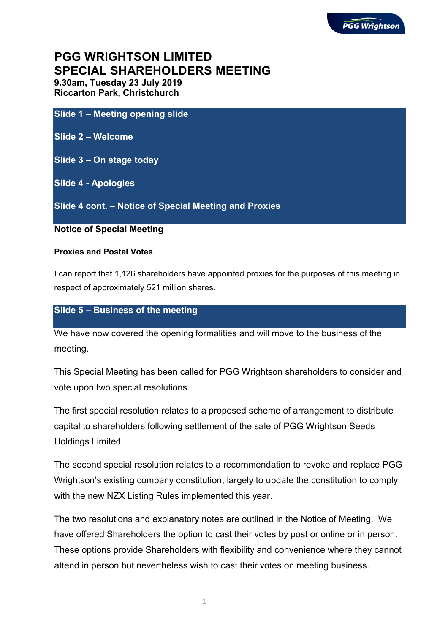## **PGG WRIGHTSON LIMITED SPECIAL SHAREHOLDERS MEETING**

**9.30am, Tuesday 23 July 2019 Riccarton Park, Christchurch**

**Slide 1 – Meeting opening slide**

**Slide 2 – Welcome**

**Slide 3 – On stage today**

**Slide 4 - Apologies**

**Slide 4 cont. – Notice of Special Meeting and Proxies**

**Notice of Special Meeting**

#### **Proxies and Postal Votes**

I can report that 1,126 shareholders have appointed proxies for the purposes of this meeting in respect of approximately 521 million shares.

#### **Slide 5 – Business of the meeting**

We have now covered the opening formalities and will move to the business of the meeting.

This Special Meeting has been called for PGG Wrightson shareholders to consider and vote upon two special resolutions.

The first special resolution relates to a proposed scheme of arrangement to distribute capital to shareholders following settlement of the sale of PGG Wrightson Seeds Holdings Limited.

The second special resolution relates to a recommendation to revoke and replace PGG Wrightson's existing company constitution, largely to update the constitution to comply with the new NZX Listing Rules implemented this year.

The two resolutions and explanatory notes are outlined in the Notice of Meeting. We have offered Shareholders the option to cast their votes by post or online or in person. These options provide Shareholders with flexibility and convenience where they cannot attend in person but nevertheless wish to cast their votes on meeting business.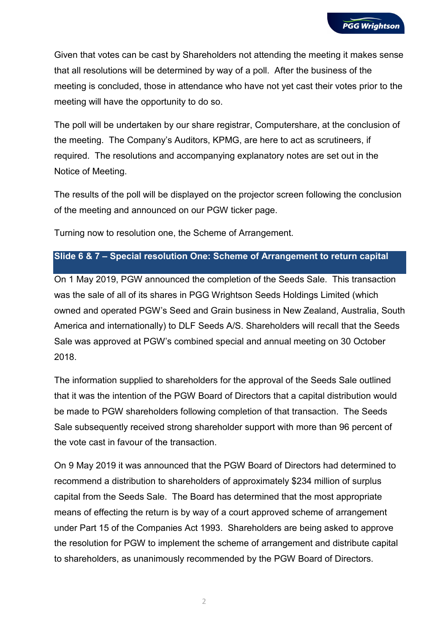Given that votes can be cast by Shareholders not attending the meeting it makes sense that all resolutions will be determined by way of a poll. After the business of the meeting is concluded, those in attendance who have not yet cast their votes prior to the meeting will have the opportunity to do so.

The poll will be undertaken by our share registrar, Computershare, at the conclusion of the meeting. The Company's Auditors, KPMG, are here to act as scrutineers, if required. The resolutions and accompanying explanatory notes are set out in the Notice of Meeting.

The results of the poll will be displayed on the projector screen following the conclusion of the meeting and announced on our PGW ticker page.

Turning now to resolution one, the Scheme of Arrangement.

### **Slide 6 & 7 – Special resolution One: Scheme of Arrangement to return capital**

On 1 May 2019, PGW announced the completion of the Seeds Sale. This transaction was the sale of all of its shares in PGG Wrightson Seeds Holdings Limited (which owned and operated PGW's Seed and Grain business in New Zealand, Australia, South America and internationally) to DLF Seeds A/S. Shareholders will recall that the Seeds Sale was approved at PGW's combined special and annual meeting on 30 October 2018.

The information supplied to shareholders for the approval of the Seeds Sale outlined that it was the intention of the PGW Board of Directors that a capital distribution would be made to PGW shareholders following completion of that transaction. The Seeds Sale subsequently received strong shareholder support with more than 96 percent of the vote cast in favour of the transaction.

On 9 May 2019 it was announced that the PGW Board of Directors had determined to recommend a distribution to shareholders of approximately \$234 million of surplus capital from the Seeds Sale. The Board has determined that the most appropriate means of effecting the return is by way of a court approved scheme of arrangement under Part 15 of the Companies Act 1993. Shareholders are being asked to approve the resolution for PGW to implement the scheme of arrangement and distribute capital to shareholders, as unanimously recommended by the PGW Board of Directors.

2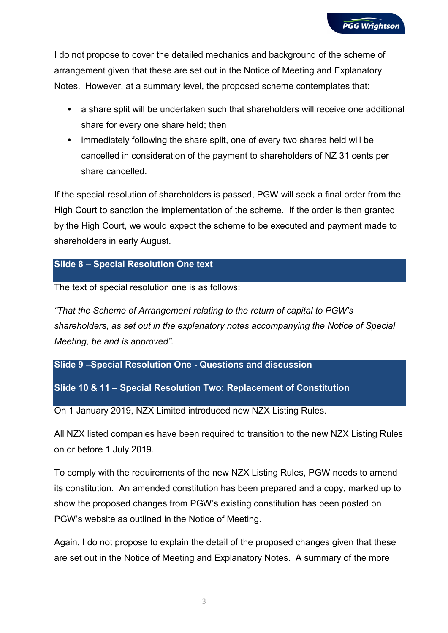I do not propose to cover the detailed mechanics and background of the scheme of arrangement given that these are set out in the Notice of Meeting and Explanatory Notes. However, at a summary level, the proposed scheme contemplates that:

- **•** a share split will be undertaken such that shareholders will receive one additional share for every one share held; then
- **•** immediately following the share split, one of every two shares held will be cancelled in consideration of the payment to shareholders of NZ 31 cents per share cancelled.

If the special resolution of shareholders is passed, PGW will seek a final order from the High Court to sanction the implementation of the scheme. If the order is then granted by the High Court, we would expect the scheme to be executed and payment made to shareholders in early August.

```
Slide 8 – Special Resolution One text
```

```
The text of special resolution one is as follows:
```
*"That the Scheme of Arrangement relating to the return of capital to PGW's shareholders, as set out in the explanatory notes accompanying the Notice of Special Meeting, be and is approved".*

```
Slide 9 –Special Resolution One - Questions and discussion
```

```
Slide 10 & 11 – Special Resolution Two: Replacement of Constitution
```
On 1 January 2019, NZX Limited introduced new NZX Listing Rules.

All NZX listed companies have been required to transition to the new NZX Listing Rules on or before 1 July 2019.

To comply with the requirements of the new NZX Listing Rules, PGW needs to amend its constitution. An amended constitution has been prepared and a copy, marked up to show the proposed changes from PGW's existing constitution has been posted on PGW's website as outlined in the Notice of Meeting.

Again, I do not propose to explain the detail of the proposed changes given that these are set out in the Notice of Meeting and Explanatory Notes. A summary of the more